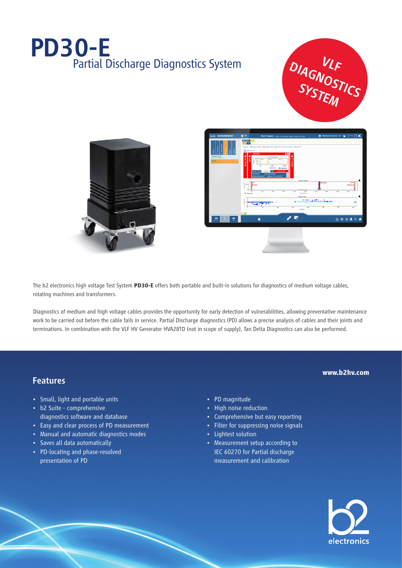## PD30-E Partial Discharge Diagnostics System







The b2 electronics high voltage Test System **PD30-E** offers both portable and built-in solutions for diagnostics of medium voltage cables, rotating machines and transformers.

Diagnostics of medium and high voltage cables provides the opportunity for early detection of vulnerabilities, allowing preventative maintenance work to be carried out before the cable fails in service. Partial Discharge diagnostics (PD) allows a precise analysis of cables and their joints and terminations. In combination with the VLF HV Generator HVA28TD (not in scope of supply), Tan Delta Diagnostics can also be performed.

#### Features

- Small, light and portable units
- b2 Suite comprehensive diagnostics software and database
- Easy and clear process of PD measurement
- Manual and automatic diagnostics modes
- Saves all data automatically
- PD-locating and phase-resolved presentation of PD
- PD magnitude
- High noise reduction
- Comprehensive but easy reporting
- Filter for suppressing noise signals
- Lightest solution
- Measurement setup according to IEC 60270 for Partial discharge measurement and calibration



**www.b2hv.com**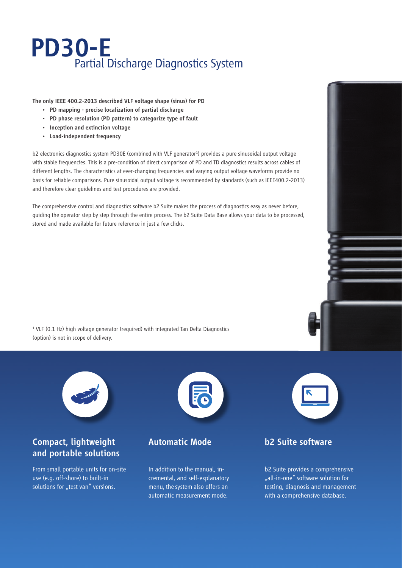## PD30-E Partial Discharge Diagnostics System

The only IEEE 400.2-2013 described VLF voltage shape (sinus) for PD

- PD mapping precise localization of partial discharge
- PD phase resolution (PD pattern) to categorize type of fault
- Inception and extinction voltage
- Load-independent frequency

b2 electronics diagnostics system PD30E (combined with VLF generator<sup>1</sup>) provides a pure sinusoidal output voltage with stable frequencies. This is a pre-condition of direct comparison of PD and TD diagnostics results across cables of different lengths. The characteristics at ever-changing frequencies and varying output voltage waveforms provide no basis for reliable comparisons. Pure sinusoidal output voltage is recommended by standards (such as IEEE400.2-2013) and therefore clear guidelines and test procedures are provided.

The comprehensive control and diagnostics software b2 Suite makes the process of diagnostics easy as never before, guiding the operator step by step through the entire process. The b2 Suite Data Base allows your data to be processed, stored and made available for future reference in just a few clicks.

<sup>1</sup> VLF (0.1 Hz) high voltage generator (required) with integrated Tan Delta Diagnostics (option) is not in scope of delivery.



### Compact, lightweight and portable solutions

From small portable units for on-site use (e.g. off-shore) to built-in solutions for "test van" versions.



#### Automatic Mode

In addition to the manual, incremental, and self-explanatory menu, the system also offers an automatic measurement mode.



#### b2 Suite software

b2 Suite provides a comprehensive "all-in-one" software solution for testing, diagnosis and management with a comprehensive database.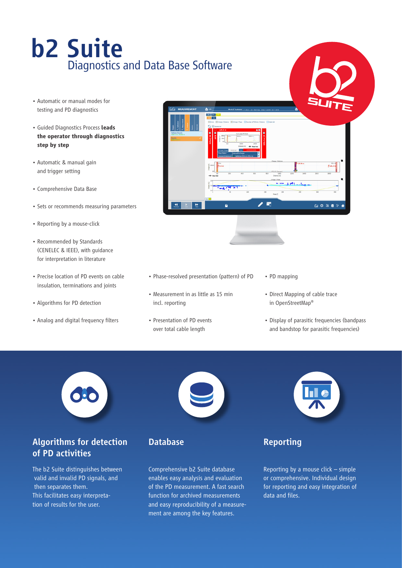# b2 Suite Diagnostics and Data Base Software

- Automatic or manual modes for testing and PD diagnostics
- Guided Diagnostics Process **leads the operator through diagnostics step by step**
- Automatic & manual gain and trigger setting
- Comprehensive Data Base
- Sets or recommends measuring parameters
- Reporting by a mouse-click
- Recommended by Standards (CENELEC & IEEE), with guidance for interpretation in literature
- Precise location of PD events on cable insulation, terminations and joints
- Algorithms for PD detection
- Analog and digital frequency filters



- Phase-resolved presentation (pattern) of PD
- Measurement in as little as 15 min incl. reporting
- Presentation of PD events over total cable length
- PD mapping
- Direct Mapping of cable trace in OpenStreetMap®
- Display of parasitic frequencies (bandpass and bandstop for parasitic frequencies)

#### Algorithms for detection of PD activities

The b2 Suite distinguishes between valid and invalid PD signals, and then separates them. This facilitates easy interpretation of results for the user.



Database

Comprehensive b2 Suite database enables easy analysis and evaluation of the PD measurement. A fast search function for archived measurements and easy reproducibility of a measurement are among the key features.



## Reporting

Reporting by a mouse click – simple or comprehensive. Individual design for reporting and easy integration of data and files.